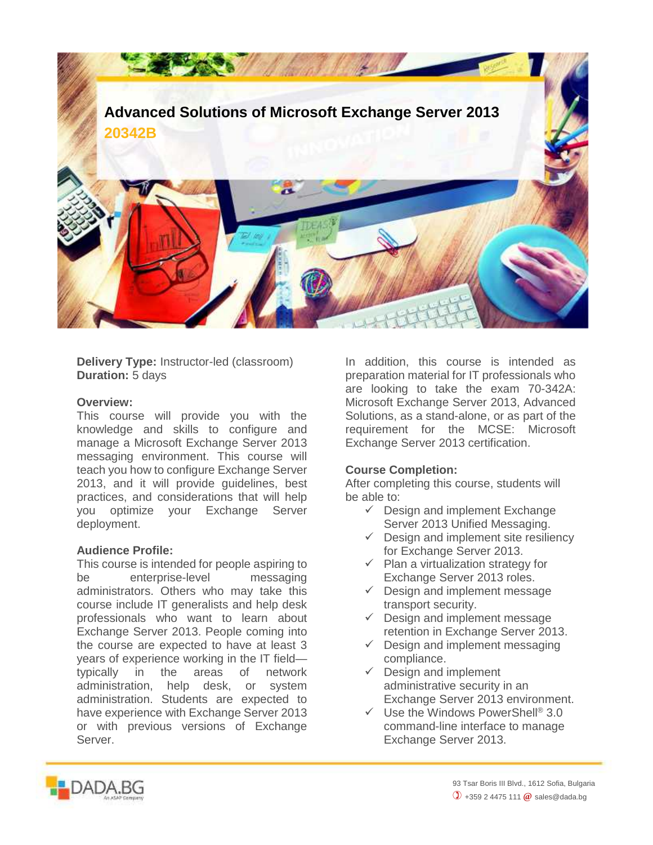

**Delivery Type:** Instructor-led (classroom) **Duration:** 5 days

## **Overview:**

This course will provide you with the knowledge and skills to configure and manage a Microsoft Exchange Server 2013 messaging environment. This course will teach you how to configure Exchange Server 2013, and it will provide guidelines, best practices, and considerations that will help you optimize your Exchange Server deployment.

## **Audience Profile:**

This course is intended for people aspiring to be enterprise-level messaging administrators. Others who may take this course include IT generalists and help desk professionals who want to learn about Exchange Server 2013. People coming into the course are expected to have at least 3 years of experience working in the IT field typically in the areas of network administration, help desk, or system administration. Students are expected to have experience with Exchange Server 2013 or with previous versions of Exchange Server.

In addition, this course is intended as preparation material for IT professionals who are looking to take the exam 70-342A: Microsoft Exchange Server 2013, Advanced Solutions, as a stand-alone, or as part of the requirement for the MCSE: Microsoft Exchange Server 2013 certification.

## **Course Completion:**

After completing this course, students will be able to:

- $\checkmark$  Design and implement Exchange Server 2013 Unified Messaging.
- $\checkmark$  Design and implement site resiliency for Exchange Server 2013.
- $\checkmark$  Plan a virtualization strategy for Exchange Server 2013 roles.
- $\checkmark$  Design and implement message transport security.
- $\checkmark$  Design and implement message retention in Exchange Server 2013.
- $\checkmark$  Design and implement messaging compliance.
- $\checkmark$  Design and implement administrative security in an Exchange Server 2013 environment.
- $\checkmark$  Use the Windows PowerShell® 3.0 command-line interface to manage Exchange Server 2013.